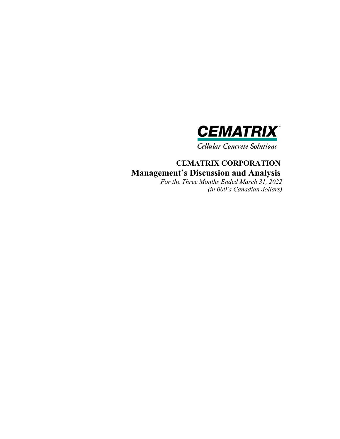

**Cellular Concrete Solutions** 

# **CEMATRIX CORPORATION Management's Discussion and Analysis**

*For the Three Months Ended March 31, 2022 (in 000's Canadian dollars)*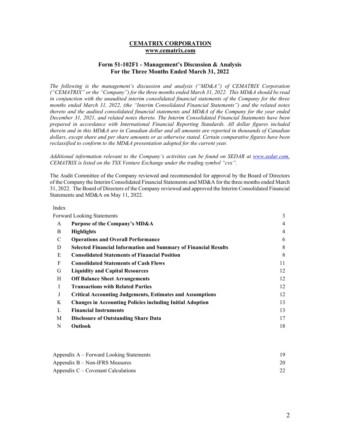## **CEMATRIX CORPORATION www.cematrix.com**

## **Form 51-102F1 - Management's Discussion & Analysis For the Three Months Ended March 31, 2022**

*The following is the management's discussion and analysis ("MD&A") of CEMATRIX Corporation ("CEMATRIX" or the "Company") for the three months ended March 31, 2022. This MD&A should be read in conjunction with the unaudited interim consolidated financial statements of the Company for the three months ended March 31, 2022, (the "Interim Consolidated Financial Statements") and the related notes thereto and the audited consolidated financial statements and MD&A of the Company for the year ended December 31, 2021, and related notes thereto. The Interim Consolidated Financial Statements have been prepared in accordance with International Financial Reporting Standards. All dollar figures included therein and in this MD&A are in Canadian dollar and all amounts are reported in thousands of Canadian dollars, except share and per share amounts or as otherwise stated. Certain comparative figures have been*  reclassified to conform to the MD&A presentation adopted for the current year.

#### *Additional information relevant to the Company's activities can be found on SEDAR at www.sedar.com. CEMATRIX is listed on the TSX Venture Exchange under the trading symbol "cvx".*

The Audit Committee of the Company reviewed and recommended for approval by the Board of Directors of the Company the Interim Consolidated Financial Statements and MD&A for the three months ended March 31, 2022. The Board of Directors of the Company reviewed and approved the Interim Consolidated Financial Statements and MD&A on May 11, 2022.

#### Index

|   | <b>Forward Looking Statements</b>                                      | 3              |
|---|------------------------------------------------------------------------|----------------|
| A | Purpose of the Company's MD&A                                          | $\overline{4}$ |
| B | <b>Highlights</b>                                                      | $\overline{4}$ |
| C | <b>Operations and Overall Performance</b>                              | 6              |
| D | <b>Selected Financial Information and Summary of Financial Results</b> | 8              |
| E | <b>Consolidated Statements of Financial Position</b>                   | 8              |
| F | <b>Consolidated Statements of Cash Flows</b>                           | 11             |
| G | <b>Liquidity and Capital Resources</b>                                 | 12             |
| H | <b>Off Balance Sheet Arrangements</b>                                  | 12             |
| L | <b>Transactions with Related Parties</b>                               | 12             |
| J | <b>Critical Accounting Judgements, Estimates and Assumptions</b>       | 12             |
| K | <b>Changes in Accounting Policies including Initial Adoption</b>       | 13             |
| L | <b>Financial Instruments</b>                                           | 13             |
| M | <b>Disclosure of Outstanding Share Data</b>                            | 17             |
| N | <b>Outlook</b>                                                         | 18             |
|   |                                                                        |                |

| Appendix A – Forward Looking Statements |    |
|-----------------------------------------|----|
| Appendix B – Non-IFRS Measures          | 20 |
| Appendix $C -$ Covenant Calculations    |    |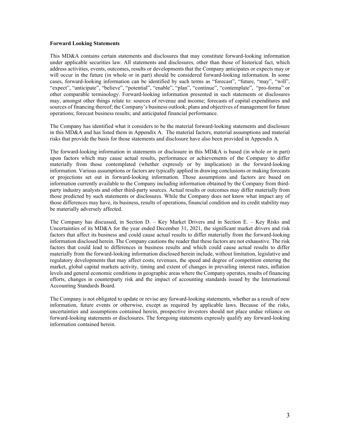#### **Forward Looking Statements**

This MD&A contains certain statements and disclosures that may constitute forward-looking information under applicable securities law. All statements and disclosures, other than those of historical fact, which address activities, events, outcomes, results or developments that the Company anticipates or expects may or will occur in the future (in whole or in part) should be considered forward-looking information. In some cases, forward-looking information can be identified by such terms as "forecast", "future, "may", "will", "expect", "anticipate", "believe", "potential", "enable", "plan", "continue", "contemplate", "pro-forma" or other comparable terminology. Forward-looking information presented in such statements or disclosures may, amongst other things relate to: sources of revenue and income; forecasts of capital expenditures and sources of financing thereof; the Company's business outlook; plans and objectives of management for future operations; forecast business results; and anticipated financial performance.

The Company has identified what it considers to be the material forward-looking statements and disclosure in this MD&A and has listed them in Appendix A. The material factors, material assumptions and material risks that provide the basis for those statements and disclosure have also been provided in Appendix A.

The forward-looking information in statements or disclosure in this MD&A is based (in whole or in part) upon factors which may cause actual results, performance or achievements of the Company to differ materially from those contemplated (whether expressly or by implication) in the forward-looking information. Various assumptions or factors are typically applied in drawing conclusions or making forecasts or projections set out in forward-looking information. Those assumptions and factors are based on information currently available to the Company including information obtained by the Company from thirdparty industry analysts and other third-party sources. Actual results or outcomes may differ materially from those predicted by such statements or disclosures. While the Company does not know what impact any of those differences may have, its business, results of operations, financial condition and its credit stability may be materially adversely affected.

The Company has discussed, in Section D. – Key Market Drivers and in Section E. – Key Risks and Uncertainties of its MD&A for the year ended December 31, 2021, the significant market drivers and risk factors that affect its business and could cause actual results to differ materially from the forward-looking information disclosed herein. The Company cautions the reader that these factors are not exhaustive. The risk factors that could lead to differences in business results and which could cause actual results to differ materially from the forward-looking information disclosed herein include, without limitation, legislative and regulatory developments that may affect costs, revenues, the speed and degree of competition entering the market, global capital markets activity, timing and extent of changes in prevailing interest rates, inflation levels and general economic conditions in geographic areas where the Company operates, results of financing efforts, changes in counterparty risk and the impact of accounting standards issued by the International Accounting Standards Board.

The Company is not obligated to update or revise any forward-looking statements, whether as a result of new information, future events or otherwise, except as required by applicable laws. Because of the risks, uncertainties and assumptions contained herein, prospective investors should not place undue reliance on forward-looking statements or disclosures. The foregoing statements expressly qualify any forward-looking information contained herein.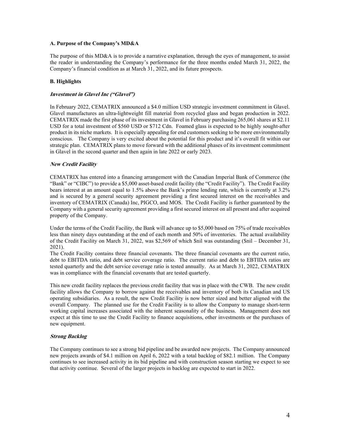## **A. Purpose of the Company's MD&A**

The purpose of this MD&A is to provide a narrative explanation, through the eyes of management, to assist the reader in understanding the Company's performance for the three months ended March 31, 2022, the Company's financial condition as at March 31, 2022, and its future prospects.

## **B. Highlights**

## **Investment in Glavel Inc ("Glavel")**

In February 2022, CEMATRIX announced a \$4.0 million USD strategic investment commitment in Glavel. Glavel manufactures an ultra-lightweight fill material from recycled glass and began production in 2022. CEMATRIX made the first phase of its investment in Glavel in February purchasing 265,061 shares at \$2.11 USD for a total investment of \$560 USD or \$712 Cdn. Foamed glass is expected to be highly sought-after product in its niche markets. It is especially appealing for end customers seeking to be more environmentally conscious. The Company is very excited about the potential for this product and it's overall fit within our strategic plan. CEMATRIX plans to move forward with the additional phases of its investment commitment in Glavel in the second quarter and then again in late 2022 or early 2023.

## **New Credit Facility**

CEMATRIX has entered into a financing arrangement with the Canadian Imperial Bank of Commerce (the "Bank" or "CIBC") to provide a \$5,000 asset-based credit facility (the "Credit Facility"). The Credit Facility bears interest at an amount equal to 1.5% above the Bank's prime lending rate, which is currently at 3.2% and is secured by a general security agreement providing a first secured interest on the receivables and inventory of CEMATRIX (Canada) Inc, PIGCO, and MOS. The Credit Facility is further guaranteed by the Company with a general security agreement providing a first secured interest on all present and after acquired property of the Company.

Under the terms of the Credit Facility, the Bank will advance up to \$5,000 based on 75% of trade receivables less than ninety days outstanding at the end of each month and 50% of inventories. The actual availability of the Credit Facility on March 31, 2022, was \$2,569 of which \$nil was outstanding (\$nil – December 31, 2021).

The Credit Facility contains three financial covenants. The three financial covenants are the current ratio, debt to EBITDA ratio, and debt service coverage ratio. The current ratio and debt to EBTIDA ratios are tested quarterly and the debt service coverage ratio is tested annually. As at March 31, 2022, CEMATRIX was in compliance with the financial covenants that are tested quarterly.

This new credit facility replaces the previous credit facility that was in place with the CWB. The new credit facility allows the Company to borrow against the receivables and inventory of both its Canadian and US operating subsidiaries. As a result, the new Credit Facility is now better sized and better aligned with the overall Company. The planned use for the Credit Facility is to allow the Company to manage short-term working capital increases associated with the inherent seasonality of the business. Management does not expect at this time to use the Credit Facility to finance acquisitions, other investments or the purchases of new equipment.

## **Strong Backlog**

The Company continues to see a strong bid pipeline and be awarded new projects. The Company announced new projects awards of \$4.1 million on April 6, 2022 with a total backlog of \$82.1 million. The Company continues to see increased activity in its bid pipeline and with construction season starting we expect to see that activity continue. Several of the larger projects in backlog are expected to start in 2022.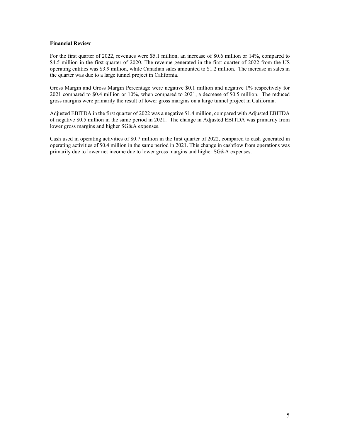#### **Financial Review**

For the first quarter of 2022, revenues were \$5.1 million, an increase of \$0.6 million or 14%, compared to \$4.5 million in the first quarter of 2020. The revenue generated in the first quarter of 2022 from the US operating entities was \$3.9 million, while Canadian sales amounted to \$1.2 million. The increase in sales in the quarter was due to a large tunnel project in California.

Gross Margin and Gross Margin Percentage were negative \$0.1 million and negative 1% respectively for 2021 compared to \$0.4 million or 10%, when compared to 2021, a decrease of \$0.5 million. The reduced gross margins were primarily the result of lower gross margins on a large tunnel project in California.

Adjusted EBITDA in the first quarter of 2022 was a negative \$1.4 million, compared with Adjusted EBITDA of negative \$0.5 million in the same period in 2021. The change in Adjusted EBITDA was primarily from lower gross margins and higher SG&A expenses.

Cash used in operating activities of \$0.7 million in the first quarter of 2022, compared to cash generated in operating activities of \$0.4 million in the same period in 2021. This change in cashflow from operations was primarily due to lower net income due to lower gross margins and higher SG&A expenses.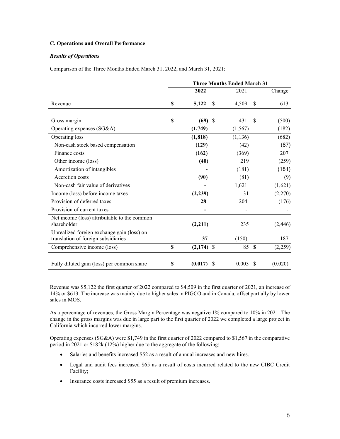## **C. Operations and Overall Performance**

## *Results of Operations*

Comparison of the Three Months Ended March 31, 2022, and March 31, 2021:

|                                                                                   | <b>Three Months Ended March 31</b> |              |   |          |               |          |
|-----------------------------------------------------------------------------------|------------------------------------|--------------|---|----------|---------------|----------|
|                                                                                   |                                    | 2022         |   | 2021     |               | Change   |
| Revenue                                                                           | S                                  | 5,122        | S | 4,509    | <sup>\$</sup> | 613      |
| Gross margin                                                                      | \$                                 | $(69)$ \$    |   | 431      | <sup>\$</sup> | (500)    |
| Operating expenses (SG&A)                                                         |                                    | (1,749)      |   | (1, 567) |               | (182)    |
| Operating loss                                                                    |                                    | (1, 818)     |   | (1, 136) |               | (682)    |
| Non-cash stock based compensation                                                 |                                    | (129)        |   | (42)     |               | (87)     |
| Finance costs                                                                     |                                    | (162)        |   | (369)    |               | 207      |
| Other income (loss)                                                               |                                    | (40)         |   | 219      |               | (259)    |
| Amortization of intangibles                                                       |                                    |              |   | (181)    |               | (181)    |
| Accretion costs                                                                   |                                    | (90)         |   | (81)     |               | (9)      |
| Non-cash fair value of derivatives                                                |                                    |              |   | 1,621    |               | (1,621)  |
| Income (loss) before income taxes                                                 |                                    | (2,239)      |   | 31       |               | (2,270)  |
| Provision of deferred taxes                                                       |                                    | 28           |   | 204      |               | (176)    |
| Provision of current taxes                                                        |                                    |              |   |          |               |          |
| Net income (loss) attributable to the common<br>shareholder                       |                                    | (2,211)      |   | 235      |               | (2, 446) |
| Unrealized foreign exchange gain (loss) on<br>translation of foreign subsidiaries |                                    | 37           |   | (150)    |               | 187      |
| Comprehensive income (loss)                                                       | \$                                 | $(2,174)$ \$ |   | 85 S     |               | (2,259)  |
| Fully diluted gain (loss) per common share                                        | \$                                 | $(0.017)$ \$ |   | 0.003    | <sup>\$</sup> | (0.020)  |

Revenue was \$5,122 the first quarter of 2022 compared to \$4,509 in the first quarter of 2021, an increase of 14% or \$613. The increase was mainly due to higher sales in PIGCO and in Canada, offset partially by lower sales in MOS.

As a percentage of revenues, the Gross Margin Percentage was negative 1% compared to 10% in 2021. The change in the gross margins was due in large part to the first quarter of 2022 we completed a large project in California which incurred lower margins.

Operating expenses (SG&A) were \$1,749 in the first quarter of 2022 compared to \$1,567 in the comparative period in 2021 or \$182k (12%) higher due to the aggregate of the following:

- Salaries and benefits increased \$52 as a result of annual increases and new hires.
- Legal and audit fees increased \$65 as a result of costs incurred related to the new CIBC Credit Facility;
- Insurance costs increased \$55 as a result of premium increases.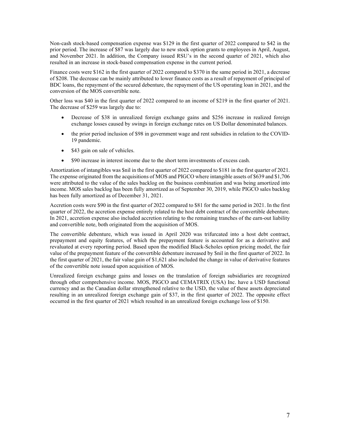Non-cash stock-based compensation expense was \$129 in the first quarter of 2022 compared to \$42 in the prior period. The increase of \$87 was largely due to new stock option grants to employees in April, August, and November 2021. In addition, the Company issued RSU's in the second quarter of 2021, which also resulted in an increase in stock-based compensation expense in the current period.

Finance costs were \$162 in the first quarter of 2022 compared to \$370 in the same period in 2021, a decrease of \$208. The decrease can be mainly attributed to lower finance costs as a result of repayment of principal of BDC loans, the repayment of the secured debenture, the repayment of the US operating loan in 2021, and the conversion of the MOS convertible note.

Other loss was \$40 in the first quarter of 2022 compared to an income of \$219 in the first quarter of 2021. The decrease of \$259 was largely due to:

- Decrease of \$38 in unrealized foreign exchange gains and \$256 increase in realized foreign exchange losses caused by swings in foreign exchange rates on US Dollar denominated balances.
- the prior period inclusion of \$98 in government wage and rent subsidies in relation to the COVID-19 pandemic.
- \$43 gain on sale of vehicles.
- \$90 increase in interest income due to the short term investments of excess cash.

Amortization of intangibles was \$nil in the first quarter of 2022 compared to \$181 in the first quarter of 2021. The expense originated from the acquisitions of MOS and PIGCO where intangible assets of \$639 and \$1,706 were attributed to the value of the sales backlog on the business combination and was being amortized into income. MOS sales backlog has been fully amortized as of September 30, 2019, while PIGCO sales backlog has been fully amortized as of December 31, 2021.

Accretion costs were \$90 in the first quarter of 2022 compared to \$81 for the same period in 2021. In the first quarter of 2022, the accretion expense entirely related to the host debt contract of the convertible debenture. In 2021, accretion expense also included accretion relating to the remaining tranches of the earn-out liability and convertible note, both originated from the acquisition of MOS.

The convertible debenture, which was issued in April 2020 was trifurcated into a host debt contract, prepayment and equity features, of which the prepayment feature is accounted for as a derivative and revaluated at every reporting period. Based upon the modified Black-Scholes option pricing model, the fair value of the prepayment feature of the convertible debenture increased by \$nil in the first quarter of 2022. In the first quarter of 2021, the fair value gain of  $$1,621$  also included the change in value of derivative features of the convertible note issued upon acquisition of MOS.

Unrealized foreign exchange gains and losses on the translation of foreign subsidiaries are recognized through other comprehensive income. MOS, PIGCO and CEMATRIX (USA) Inc. have a USD functional currency and as the Canadian dollar strengthened relative to the USD, the value of these assets depreciated resulting in an unrealized foreign exchange gain of \$37, in the first quarter of 2022. The opposite effect occurred in the first quarter of 2021 which resulted in an unrealized foreign exchange loss of \$150.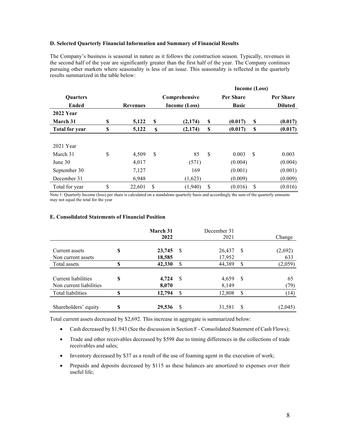#### **D. Selected Quarterly Financial Information and Summary of Financial Results**

The Company's business is seasonal in nature as it follows the construction season. Typically, revenues in the second half of the year are significantly greater than the first half of the year. The Company continues pursuing other markets where seasonality is less of an issue. This seasonality is reflected in the quarterly results summarized in the table below:

|                       |    |                 |    | Income (Loss) |               |   |                |
|-----------------------|----|-----------------|----|---------------|---------------|---|----------------|
| <b>Ouarters</b>       |    |                 |    | Comprehensive | Per Share     |   | Per Share      |
| Ended                 |    | <b>Revenues</b> |    | Income (Loss) | <b>Basic</b>  |   | <b>Diluted</b> |
| <b>2022 Year</b>      |    |                 |    |               |               |   |                |
| <b>March 31</b>       | \$ | 5,122           | S  | (2, 174)      | \$<br>(0.017) | S | (0.017)        |
| <b>Total for year</b> | \$ | 5,122           | S  | (2, 174)      | \$<br>(0.017) | S | (0.017)        |
|                       |    |                 |    |               |               |   |                |
| 2021 Year             |    |                 |    |               |               |   |                |
| March 31              | \$ | 4,509           | \$ | 85            | \$<br>0.003   | S | 0.003          |
| June $30$             |    | 4,017           |    | (571)         | (0.004)       |   | (0.004)        |
| September 30          |    | 7,127           |    | 169           | (0.001)       |   | (0.001)        |
| December 31           |    | 6,948           |    | (1,623)       | (0.009)       |   | (0.009)        |
| Total for year        | \$ | 22,601          | \$ | (1,940)       | \$<br>(0.016) | S | (0.016)        |

Note 1: Quarterly Income (loss) per share is calculated on a standalone quarterly basis and accordingly the sum of the quarterly amounts may not equal the total for the year

#### **E. Consolidated Statements of Financial Position**

|                                                |    | March 31<br>2022 |    | December 31<br>2021 |                           | Change         |
|------------------------------------------------|----|------------------|----|---------------------|---------------------------|----------------|
| Current assets<br>Non current assets           | \$ | 23,745<br>18,585 | S  | 26,437<br>17,952    | S                         | (2,692)<br>633 |
| Total assets                                   | S  | 42,330           | S  | 44,389              | \$                        | (2,059)        |
| Current liabilities<br>Non current liabilities | S  | 4,724<br>8,070   | -S | 4,659<br>8,149      | $\boldsymbol{\mathsf{S}}$ | 65<br>(79)     |
| Total liabilities                              | S  | 12,794           | S  | 12,808              | \$                        | (14)           |
| Shareholders' equity                           | S  | 29,536           | S  | 31,581              | S                         | (2,045)        |

Total current assets decreased by \$2,692. This increase in aggregate is summarized below:

- Cash decreased by \$1,943 (See the discussion in Section F Consolidated Statement of Cash Flows);
- Trade and other receivables decreased by \$598 due to timing differences in the collections of trade receivables and sales;
- Inventory decreased by \$37 as a result of the use of foaming agent in the execution of work;
- Prepaids and deposits decreased by \$115 as these balances are amortized to expenses over their useful life;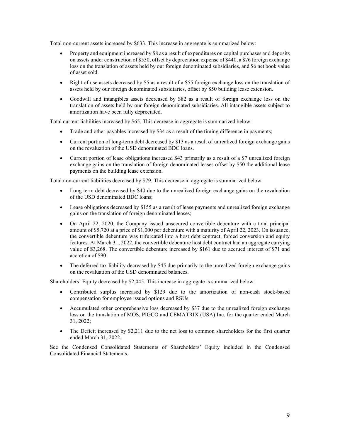Total non-current assets increased by \$633. This increase in aggregate is summarized below:

- Property and equipment increased by \$8 as a result of expenditures on capital purchases and deposits on assets under construction of \$530, offset by depreciation expense of \$440, a \$76 foreign exchange loss on the translation of assets held by our foreign denominated subsidiaries, and \$6 net book value of asset sold.
- Right of use assets decreased by \$5 as a result of a \$55 foreign exchange loss on the translation of assets held by our foreign denominated subsidiaries, offset by \$50 building lease extension.
- Goodwill and intangibles assets decreased by \$82 as a result of foreign exchange loss on the translation of assets held by our foreign denominated subsidiaries. All intangible assets subject to amortization have been fully depreciated.

Total current liabilities increased by \$65. This decrease in aggregate is summarized below:

- Trade and other payables increased by \$34 as a result of the timing difference in payments;
- Current portion of long-term debt decreased by \$13 as a result of unrealized foreign exchange gains on the revaluation of the USD denominated BDC loans.
- Current portion of lease obligations increased \$43 primarily as a result of a \$7 unrealized foreign exchange gains on the translation of foreign denominated leases offset by \$50 the additional lease payments on the building lease extension.

Total non-current liabilities decreased by \$79. This decrease in aggregate is summarized below:

- Long term debt decreased by \$40 due to the unrealized foreign exchange gains on the revaluation of the USD denominated BDC loans;
- Lease obligations decreased by \$155 as a result of lease payments and unrealized foreign exchange gains on the translation of foreign denominated leases;
- On April 22, 2020, the Company issued unsecured convertible debenture with a total principal amount of \$5,720 at a price of \$1,000 per debenture with a maturity of April 22, 2023. On issuance, the convertible debenture was trifurcated into a host debt contract, forced conversion and equity features. At March 31, 2022, the convertible debenture host debt contract had an aggregate carrying value of \$3,268. The convertible debenture increased by \$161 due to accrued interest of \$71 and accretion of \$90.
- The deferred tax liability decreased by \$45 due primarily to the unrealized foreign exchange gains on the revaluation of the USD denominated balances.

Shareholders' Equity decreased by \$2,045. This increase in aggregate is summarized below:

- Contributed surplus increased by \$129 due to the amortization of non-cash stock-based compensation for employee issued options and RSUs.
- Accumulated other comprehensive loss decreased by \$37 due to the unrealized foreign exchange loss on the translation of MOS, PIGCO and CEMATRIX (USA) Inc. for the quarter ended March 31, 2022;
- The Deficit increased by \$2,211 due to the net loss to common shareholders for the first quarter ended March 31, 2022.

See the Condensed Consolidated Statements of Shareholders' Equity included in the Condensed Consolidated Financial Statements.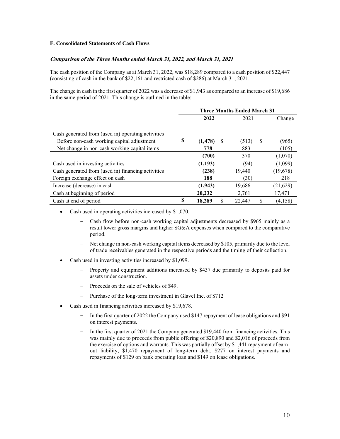## **F. Consolidated Statements of Cash Flows**

## **Comparison of the Three Months ended March 31, 2022, and March 31, 2021**

The cash position of the Company as at March 31, 2022, was \$18,289 compared to a cash position of \$22,447 (consisting of cash in the bank of \$22,161 and restricted cash of \$286) at March 31, 2021.

The change in cash in the first quarter of 2022 was a decrease of \$1,943 as compared to an increase of \$19,686 in the same period of 2021. This change is outlined in the table:

|                                                    | <b>Three Months Ended March 31</b> |          |    |        |               |          |  |
|----------------------------------------------------|------------------------------------|----------|----|--------|---------------|----------|--|
|                                                    |                                    | 2022     |    | 2021   |               | Change   |  |
|                                                    |                                    |          |    |        |               |          |  |
| Cash generated from (used in) operating activities |                                    |          |    |        |               |          |  |
| Before non-cash working capital adjustment         | \$                                 | (1, 478) | -S | (513)  | <sup>\$</sup> | (965)    |  |
| Net change in non-cash working capital items       |                                    | 778      |    | 883    |               | (105)    |  |
|                                                    |                                    | (700)    |    | 370    |               | (1,070)  |  |
| Cash used in investing activities                  |                                    | (1,193)  |    | (94)   |               | (1,099)  |  |
| Cash generated from (used in) financing activities |                                    | (238)    |    | 19,440 |               | (19,678) |  |
| Foreign exchange effect on cash                    |                                    | 188      |    | (30)   |               | 218      |  |
| Increase (decrease) in cash                        |                                    | (1,943)  |    | 19,686 |               | (21,629) |  |
| Cash at beginning of period                        |                                    | 20,232   |    | 2,761  |               | 17,471   |  |
| Cash at end of period                              | \$                                 | 18,289   | \$ | 22,447 | \$            | (4,158)  |  |

Cash used in operating activities increased by \$1,070.

- Cash flow before non-cash working capital adjustments decreased by \$965 mainly as a result lower gross margins and higher SG&A expenses when compared to the comparative period.
- Net change in non-cash working capital items decreased by \$105, primarily due to the level of trade receivables generated in the respective periods and the timing of their collection.
- Cash used in investing activities increased by \$1,099.
	- Property and equipment additions increased by \$437 due primarily to deposits paid for assets under construction.
	- Proceeds on the sale of vehicles of \$49.
	- Purchase of the long-term investment in Glavel Inc. of \$712
- Cash used in financing activities increased by \$19,678.
	- In the first quarter of 2022 the Company used \$147 repayment of lease obligations and \$91 on interest payments.
	- In the first quarter of 2021 the Company generated \$19,440 from financing activities. This was mainly due to proceeds from public offering of \$20,890 and \$2,016 of proceeds from the exercise of options and warrants. This was partially offset by \$1,441 repayment of earnout liability, \$1,470 repayment of long-term debt, \$277 on interest payments and repayments of \$129 on bank operating loan and \$149 on lease obligations.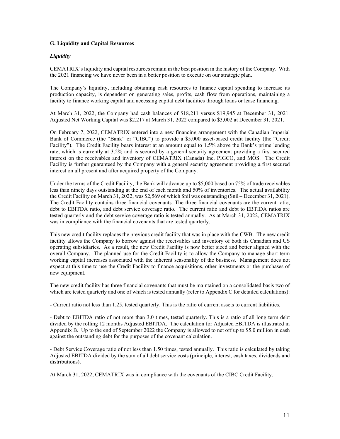## **G. Liquidity and Capital Resources**

## *Liquidity*

CEMATRIX's liquidity and capital resources remain in the best position in the history of the Company. With the 2021 financing we have never been in a better position to execute on our strategic plan.

The Company's liquidity, including obtaining cash resources to finance capital spending to increase its production capacity, is dependent on generating sales, profits, cash flow from operations, maintaining a facility to finance working capital and accessing capital debt facilities through loans or lease financing.

At March 31, 2022, the Company had cash balances of \$18,211 versus \$19,945 at December 31, 2021. Adjusted Net Working Capital was \$2,217 at March 31, 2022 compared to \$3,002 at December 31, 2021.

On February 7, 2022, CEMATRIX entered into a new financing arrangement with the Canadian Imperial Bank of Commerce (the "Bank" or "CIBC") to provide a \$5,000 asset-based credit facility (the "Credit Facility"). The Credit Facility bears interest at an amount equal to 1.5% above the Bank's prime lending rate, which is currently at 3.2% and is secured by a general security agreement providing a first secured interest on the receivables and inventory of CEMATRIX (Canada) Inc, PIGCO, and MOS. The Credit Facility is further guaranteed by the Company with a general security agreement providing a first secured interest on all present and after acquired property of the Company.

Under the terms of the Credit Facility, the Bank will advance up to \$5,000 based on 75% of trade receivables less than ninety days outstanding at the end of each month and 50% of inventories. The actual availability the Credit Facility on March 31, 2022, was \$2,569 of which \$nil was outstanding (\$nil – December 31, 2021). The Credit Facility contains three financial covenants. The three financial covenants are the current ratio, debt to EBITDA ratio, and debt service coverage ratio. The current ratio and debt to EBTIDA ratios are tested quarterly and the debt service coverage ratio is tested annually. As at March 31, 2022, CEMATRIX was in compliance with the financial covenants that are tested quarterly.

This new credit facility replaces the previous credit facility that was in place with the CWB. The new credit facility allows the Company to borrow against the receivables and inventory of both its Canadian and US operating subsidiaries. As a result, the new Credit Facility is now better sized and better aligned with the overall Company. The planned use for the Credit Facility is to allow the Company to manage short-term working capital increases associated with the inherent seasonality of the business. Management does not expect at this time to use the Credit Facility to finance acquisitions, other investments or the purchases of new equipment.

The new credit facility has three financial covenants that must be maintained on a consolidated basis two of which are tested quarterly and one of which is tested annually (refer to Appendix C for detailed calculations):

- Current ratio not less than 1.25, tested quarterly. This is the ratio of current assets to current liabilities.

- Debt to EBITDA ratio of not more than 3.0 times, tested quarterly. This is a ratio of all long term debt divided by the rolling 12 months Adjusted EBITDA. The calculation for Adjusted EBITDA is illustrated in Appendix B. Up to the end of September 2022 the Company is allowed to net off up to \$5.0 million in cash against the outstanding debt for the purposes of the covenant calculation.

- Debt Service Coverage ratio of not less than 1.50 times, tested annually. This ratio is calculated by taking Adjusted EBITDA divided by the sum of all debt service costs (principle, interest, cash taxes, dividends and distributions).

At March 31, 2022, CEMATRIX was in compliance with the covenants of the CIBC Credit Facility.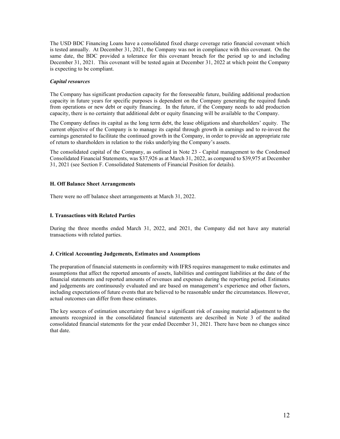The USD BDC Financing Loans have a consolidated fixed charge coverage ratio financial covenant which is tested annually. At December 31, 2021, the Company was not in compliance with this covenant. On the same date, the BDC provided a tolerance for this covenant breach for the period up to and including December 31, 2021. This covenant will be tested again at December 31, 2022 at which point the Company is expecting to be compliant.

## *Capital resources*

The Company has significant production capacity for the foreseeable future, building additional production capacity in future years for specific purposes is dependent on the Company generating the required funds from operations or new debt or equity financing. In the future, if the Company needs to add production capacity, there is no certainty that additional debt or equity financing will be available to the Company.

The Company defines its capital as the long term debt, the lease obligations and shareholders' equity. The current objective of the Company is to manage its capital through growth in earnings and to re-invest the earnings generated to facilitate the continued growth in the Company, in order to provide an appropriate rate of return to shareholders in relation to the risks underlying the Company's assets.

The consolidated capital of the Company, as outlined in Note 23 - Capital management to the Condensed Consolidated Financial Statements, was \$37,926 as at March 31, 2022, as compared to \$39,975 at December 31, 2021 (see Section F. Consolidated Statements of Financial Position for details).

## **H. Off Balance Sheet Arrangements**

There were no off balance sheet arrangements at March 31, 2022.

## **I. Transactions with Related Parties**

During the three months ended March 31, 2022, and 2021, the Company did not have any material transactions with related parties.

#### **J. Critical Accounting Judgements, Estimates and Assumptions**

The preparation of financial statements in conformity with IFRS requires management to make estimates and assumptions that affect the reported amounts of assets, liabilities and contingent liabilities at the date of the financial statements and reported amounts of revenues and expenses during the reporting period. Estimates and judgements are continuously evaluated and are based on management's experience and other factors, including expectations of future events that are believed to be reasonable under the circumstances. However, actual outcomes can differ from these estimates.

The key sources of estimation uncertainty that have a significant risk of causing material adjustment to the amounts recognized in the consolidated financial statements are described in Note 3 of the audited consolidated financial statements for the year ended December 31, 2021. There have been no changes since that date.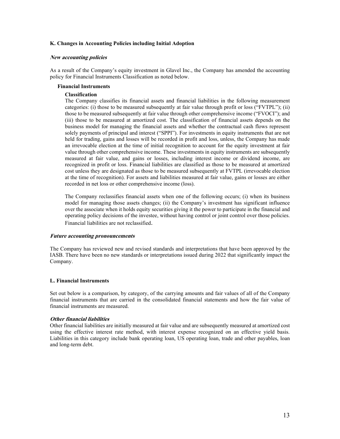#### **K. Changes in Accounting Policies including Initial Adoption**

#### **New accounting policies**

As a result of the Company's equity investment in Glavel Inc., the Company has amended the accounting policy for Financial Instruments Classification as noted below.

#### **Financial Instruments**

## **Classification**

The Company classifies its financial assets and financial liabilities in the following measurement categories: (i) those to be measured subsequently at fair value through profit or loss ("FVTPL"); (ii) those to be measured subsequently at fair value through other comprehensive income ("FVOCI"); and (iii) those to be measured at amortized cost. The classification of financial assets depends on the business model for managing the financial assets and whether the contractual cash flows represent solely payments of principal and interest ("SPPI"). For investments in equity instruments that are not held for trading, gains and losses will be recorded in profit and loss, unless, the Company has made an irrevocable election at the time of initial recognition to account for the equity investment at fair value through other comprehensive income. These investments in equity instruments are subsequently measured at fair value, and gains or losses, including interest income or dividend income, are recognized in profit or loss. Financial liabilities are classified as those to be measured at amortized cost unless they are designated as those to be measured subsequently at FVTPL (irrevocable election at the time of recognition). For assets and liabilities measured at fair value, gains or losses are either recorded in net loss or other comprehensive income (loss).

The Company reclassifies financial assets when one of the following occurs; (i) when its business model for managing those assets changes; (ii) the Company's investment has significant influence over the associate when it holds equity securities giving it the power to participate in the financial and operating policy decisions of the investee, without having control or joint control over those policies. Financial liabilities are not reclassified.

#### **Future accounting pronouncements**

The Company has reviewed new and revised standards and interpretations that have been approved by the IASB. There have been no new standards or interpretations issued during 2022 that significantly impact the Company.

## **L. Financial Instruments**

Set out below is a comparison, by category, of the carrying amounts and fair values of all of the Company financial instruments that are carried in the consolidated financial statements and how the fair value of financial instruments are measured.

## **Other financial liabilities**

Other financial liabilities are initially measured at fair value and are subsequently measured at amortized cost using the effective interest rate method, with interest expense recognized on an effective yield basis. Liabilities in this category include bank operating loan, US operating loan, trade and other payables, loan and long-term debt.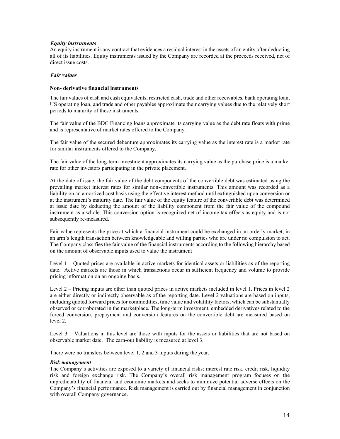## **Equity instruments**

An equity instrument is any contract that evidences a residual interest in the assets of an entity after deducting all of its liabilities. Equity instruments issued by the Company are recorded at the proceeds received, net of direct issue costs.

#### **Fair values**

## **Non- derivative financial instruments**

The fair values of cash and cash equivalents, restricted cash, trade and other receivables, bank operating loan, US operating loan, and trade and other payables approximate their carrying values due to the relatively short periods to maturity of these instruments.

The fair value of the BDC Financing loans approximate its carrying value as the debt rate floats with prime and is representative of market rates offered to the Company.

The fair value of the secured debenture approximates its carrying value as the interest rate is a market rate for similar instruments offered to the Company.

The fair value of the long-term investment approximates its carrying value as the purchase price is a market rate for other investors participating in the private placement.

At the date of issue, the fair value of the debt components of the convertible debt was estimated using the prevailing market interest rates for similar non-convertible instruments. This amount was recorded as a liability on an amortized cost basis using the effective interest method until extinguished upon conversion or at the instrument's maturity date. The fair value of the equity feature of the convertible debt was determined at issue date by deducting the amount of the liability component from the fair value of the compound instrument as a whole. This conversion option is recognized net of income tax effects as equity and is not subsequently re-measured.

Fair value represents the price at which a financial instrument could be exchanged in an orderly market, in an arm's length transaction between knowledgeable and willing parties who are under no compulsion to act. The Company classifies the fair value of the financial instruments according to the following hierarchy based on the amount of observable inputs used to value the instrument

Level 1 – Quoted prices are available in active markets for identical assets or liabilities as of the reporting date. Active markets are those in which transactions occur in sufficient frequency and volume to provide pricing information on an ongoing basis.

Level 2 – Pricing inputs are other than quoted prices in active markets included in level 1. Prices in level 2 are either directly or indirectly observable as of the reporting date. Level 2 valuations are based on inputs, including quoted forward prices for commodities, time value and volatility factors, which can be substantially observed or corroborated in the marketplace. The long-term investment, embedded derivatives related to the forced conversion, prepayment and conversion features on the convertible debt are measured based on level 2.

Level 3 – Valuations in this level are those with inputs for the assets or liabilities that are not based on observable market date. The earn-out liability is measured at level 3.

There were no transfers between level 1, 2 and 3 inputs during the year.

#### *Risk management*

The Company's activities are exposed to a variety of financial risks: interest rate risk, credit risk, liquidity risk and foreign exchange risk. The Company's overall risk management program focuses on the unpredictability of financial and economic markets and seeks to minimize potential adverse effects on the Company's financial performance. Risk management is carried out by financial management in conjunction with overall Company governance.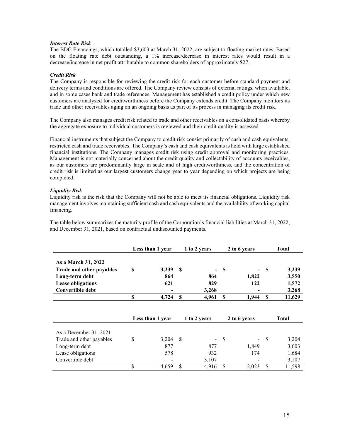## *Interest Rate Risk*

The BDC Financings, which totalled \$3,603 at March 31, 2022, are subject to floating market rates. Based on the floating rate debt outstanding, a 1% increase/decrease in interest rates would result in a decrease/increase in net profit attributable to common shareholders of approximately \$27.

## *Credit Risk*

The Company is responsible for reviewing the credit risk for each customer before standard payment and delivery terms and conditions are offered. The Company review consists of external ratings, when available, and in some cases bank and trade references. Management has established a credit policy under which new customers are analyzed for creditworthiness before the Company extends credit. The Company monitors its trade and other receivables aging on an ongoing basis as part of its process in managing its credit risk.

The Company also manages credit risk related to trade and other receivables on a consolidated basis whereby the aggregate exposure to individual customers is reviewed and their credit quality is assessed.

Financial instruments that subject the Company to credit risk consist primarily of cash and cash equivalents, restricted cash and trade receivables. The Company's cash and cash equivalents is held with large established financial institutions. The Company manages credit risk using credit approval and monitoring practices. Management is not materially concerned about the credit quality and collectability of accounts receivables, as our customers are predominantly large in scale and of high creditworthiness, and the concentration of credit risk is limited as our largest customers change year to year depending on which projects are being completed.

## *Liquidity Risk*

Liquidity risk is the risk that the Company will not be able to meet its financial obligations. Liquidity risk management involves maintaining sufficient cash and cash equivalents and the availability of working capital financing.

The table below summarizes the maturity profile of the Corporation's financial liabilities at March 31, 2022, and December 31, 2021, based on contractual undiscounted payments.

|                          |    | 1 to 2 years<br>Less than 1 year |      | 2 to 6 years |    | <b>Total</b> |               |              |
|--------------------------|----|----------------------------------|------|--------------|----|--------------|---------------|--------------|
| As a March 31, 2022      |    |                                  |      |              |    |              |               |              |
| Trade and other payables | S  | 3,239                            | S    |              | S  |              | <b>S</b>      | 3,239        |
| Long-term debt           |    | 864                              |      | 864          |    | 1,822        |               | 3,550        |
| <b>Lease obligations</b> |    | 621                              |      | 829          |    | 122          |               | 1,572        |
| Convertible debt         |    |                                  |      | 3,268        |    |              |               | 3,268        |
|                          | \$ | 4,724                            | \$   | 4,961        | S  | 1,944        | <sup>\$</sup> | 11,629       |
|                          |    |                                  |      |              |    |              |               |              |
|                          |    | Less than 1 year                 |      | 1 to 2 years |    | 2 to 6 years |               | <b>Total</b> |
| As a December 31, 2021   |    |                                  |      |              |    |              |               |              |
| Trade and other payables | \$ | 3,204                            | - \$ |              | \$ |              | -S            | 3,204        |
| Long-term debt           |    | 877                              |      | 877          |    | 1,849        |               | 3,603        |
| Lease obligations        |    | 578                              |      | 932          |    | 174          |               | 1,684        |
| Convertible debt         |    |                                  |      | 3,107        |    |              |               | 3,107        |
|                          |    |                                  |      |              |    |              |               |              |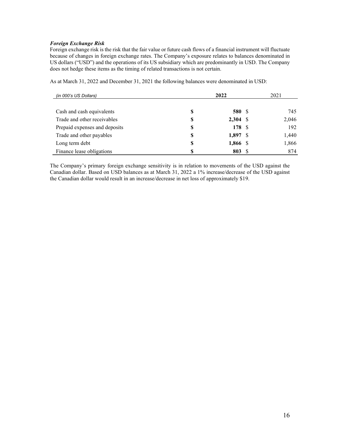## *Foreign Exchange Risk*

Foreign exchange risk is the risk that the fair value or future cash flows of a financial instrument will fluctuate because of changes in foreign exchange rates. The Company's exposure relates to balances denominated in US dollars ("USD") and the operations of its US subsidiary which are predominantly in USD. The Company does not hedge these items as the timing of related transactions is not certain.

As at March 31, 2022 and December 31, 2021 the following balances were denominated in USD:

| (in 000's US Dollars)         |    | 2021       |  |       |
|-------------------------------|----|------------|--|-------|
|                               |    |            |  |       |
| Cash and cash equivalents     | \$ | 580 \$     |  | 745   |
| Trade and other receivables   | S  | $2,304$ \$ |  | 2,046 |
| Prepaid expenses and deposits | S  | 178 \$     |  | 192   |
| Trade and other payables      | \$ | $1,897$ \$ |  | 1,440 |
| Long term debt                | \$ | 1,866 \$   |  | 1,866 |
| Finance lease obligations     | S  | 803S       |  | 874   |

The Company's primary foreign exchange sensitivity is in relation to movements of the USD against the Canadian dollar. Based on USD balances as at March 31, 2022 a 1% increase/decrease of the USD against the Canadian dollar would result in an increase/decrease in net loss of approximately \$19.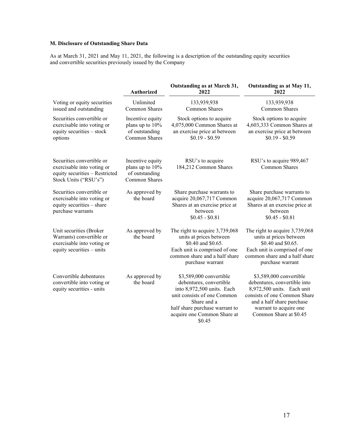# **M. Disclosure of Outstanding Share Data**

As at March 31, 2021 and May 11, 2021, the following is a description of the outstanding equity securities and convertible securities previously issued by the Company

|                                                                                                                    | <b>Authorized</b>                                                      | Outstanding as at March 31,<br>2022                                                                                                                                                                       | Outstanding as at May 11,<br>2022                                                                                                                                                                      |
|--------------------------------------------------------------------------------------------------------------------|------------------------------------------------------------------------|-----------------------------------------------------------------------------------------------------------------------------------------------------------------------------------------------------------|--------------------------------------------------------------------------------------------------------------------------------------------------------------------------------------------------------|
| Voting or equity securities<br>issued and outstanding                                                              | Unlimited<br>Common Shares                                             | 133,939,938<br>Common Shares                                                                                                                                                                              | 133,939,938<br>Common Shares                                                                                                                                                                           |
| Securities convertible or<br>exercisable into voting or<br>equity securities - stock<br>options                    | Incentive equity<br>plans up to 10%<br>of outstanding<br>Common Shares | Stock options to acquire<br>4,075,000 Common Shares at<br>an exercise price at between<br>$$0.19 - $0.59$                                                                                                 | Stock options to acquire<br>4,603,333 Common Shares at<br>an exercise price at between<br>$$0.19 - $0.59$                                                                                              |
| Securities convertible or<br>exercisable into voting or<br>equity securities - Restricted<br>Stock Units ("RSU's") | Incentive equity<br>plans up to 10%<br>of outstanding<br>Common Shares | RSU's to acquire<br>184,212 Common Shares                                                                                                                                                                 | RSU's to acquire 989,467<br><b>Common Shares</b>                                                                                                                                                       |
| Securities convertible or<br>exercisable into voting or<br>equity securities - share<br>purchase warrants          | As approved by<br>the board                                            | Share purchase warrants to<br>acquire 20,067,717 Common<br>Shares at an exercise price at<br>between<br>$$0.45 - $0.81$                                                                                   | Share purchase warrants to<br>acquire 20,067,717 Common<br>Shares at an exercise price at<br>between<br>$$0.45 - $0.81$                                                                                |
| Unit securities (Broker<br>Warrants) convertible or<br>exercisable into voting or<br>equity securities - units     | As approved by<br>the board                                            | The right to acquire 3,739,068<br>units at prices between<br>\$0.40 and \$0.65.<br>Each unit is comprised of one<br>common share and a half share<br>purchase warrant                                     | The right to acquire 3,739,068<br>units at prices between<br>\$0.40 and \$0.65.<br>Each unit is comprised of one<br>common share and a half share<br>purchase warrant                                  |
| Convertible debentures<br>convertible into voting or<br>equity securities - units                                  | As approved by<br>the board                                            | \$3,589,000 convertible<br>debentures, convertible<br>into 8,972,500 units. Each<br>unit consists of one Common<br>Share and a<br>half share purchase warrant to<br>acquire one Common Share at<br>\$0.45 | \$3,589,000 convertible<br>debentures, convertible into<br>8,972,500 units. Each unit<br>consists of one Common Share<br>and a half share purchase<br>warrant to acquire one<br>Common Share at \$0.45 |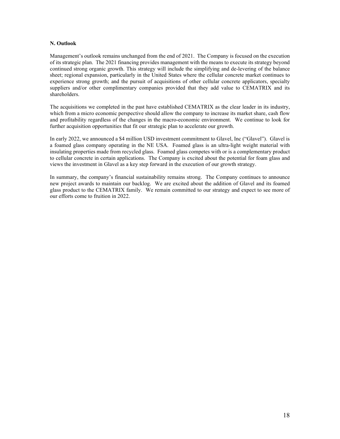## **N. Outlook**

Management's outlook remains unchanged from the end of 2021. The Company is focused on the execution of its strategic plan. The 2021 financing provides management with the means to execute its strategy beyond continued strong organic growth. This strategy will include the simplifying and de-levering of the balance sheet; regional expansion, particularly in the United States where the cellular concrete market continues to experience strong growth; and the pursuit of acquisitions of other cellular concrete applicators, specialty suppliers and/or other complimentary companies provided that they add value to CEMATRIX and its shareholders.

The acquisitions we completed in the past have established CEMATRIX as the clear leader in its industry, which from a micro economic perspective should allow the company to increase its market share, cash flow and profitability regardless of the changes in the macro-economic environment. We continue to look for further acquisition opportunities that fit our strategic plan to accelerate our growth.

In early 2022, we announced a \$4 million USD investment commitment to Glavel, Inc ("Glavel"). Glavel is a foamed glass company operating in the NE USA. Foamed glass is an ultra-light weight material with insulating properties made from recycled glass. Foamed glass competes with or is a complementary product to cellular concrete in certain applications. The Company is excited about the potential for foam glass and views the investment in Glavel as a key step forward in the execution of our growth strategy.

In summary, the company's financial sustainability remains strong. The Company continues to announce new project awards to maintain our backlog. We are excited about the addition of Glavel and its foamed glass product to the CEMATRIX family. We remain committed to our strategy and expect to see more of our efforts come to fruition in 2022.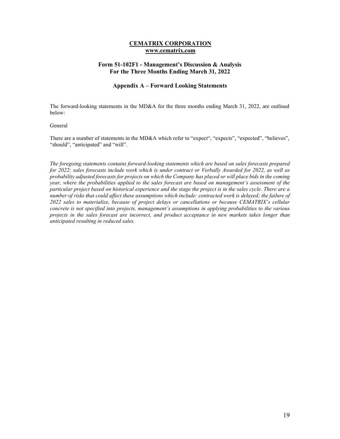## **CEMATRIX CORPORATION www.cematrix.com**

## **Form 51-102F1 - Management's Discussion & Analysis For the Three Months Ending March 31, 2022**

## **Appendix A – Forward Looking Statements**

The forward-looking statements in the MD&A for the three months ending March 31, 2022, are outlined below:

#### General

There are a number of statements in the MD&A which refer to "expect", "expects", "expected", "believes", "should", "anticipated" and "will".

*The foregoing statements contains forward-looking statements which are based on sales forecasts prepared for 2022; sales forecasts include work which is under contract or Verbally Awarded for 2022, as well as probability adjusted forecasts for projects on which the Company has placed or will place bids in the coming year, where the probabilities applied to the sales forecast are based on management's assessment of the particular project based on historical experience and the stage the project is in the sales cycle. There are a number of risks that could affect these assumptions which include: contracted work is delayed; the failure of 2022 sales to materialize, because of project delays or cancellations or because CEMATRIX's cellular concrete is not specified into projects, management's assumptions in applying probabilities to the various projects in the sales forecast are incorrect, and product acceptance in new markets takes longer than anticipated resulting in reduced sales.*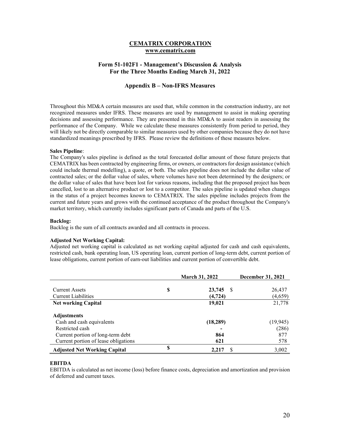## **CEMATRIX CORPORATION www.cematrix.com**

## **Form 51-102F1 - Management's Discussion & Analysis For the Three Months Ending March 31, 2022**

## **Appendix B – Non-IFRS Measures**

Throughout this MD&A certain measures are used that, while common in the construction industry, are not recognized measures under IFRS. These measures are used by management to assist in making operating decisions and assessing performance. They are presented in this MD&A to assist readers in assessing the performance of the Company. While we calculate these measures consistently from period to period, they will likely not be directly comparable to similar measures used by other companies because they do not have standardized meanings prescribed by IFRS. Please review the definitions of these measures below.

#### **Sales Pipeline**:

The Company's sales pipeline is defined as the total forecasted dollar amount of those future projects that CEMATRIX has been contracted by engineering firms, or owners, or contractors for design assistance (which could include thermal modelling), a quote, or both. The sales pipeline does not include the dollar value of contracted sales; or the dollar value of sales, where volumes have not been determined by the designers; or the dollar value of sales that have been lost for various reasons, including that the proposed project has been cancelled, lost to an alternative product or lost to a competitor. The sales pipeline is updated when changes in the status of a project becomes known to CEMATRIX. The sales pipeline includes projects from the current and future years and grows with the continued acceptance of the product throughout the Company's market territory, which currently includes significant parts of Canada and parts of the U.S.

#### **Backlog:**

Backlog is the sum of all contracts awarded and all contracts in process.

#### **Adjusted Net Working Capital:**

Adjusted net working capital is calculated as net working capital adjusted for cash and cash equivalents, restricted cash, bank operating loan, US operating loan, current portion of long-term debt, current portion of lease obligations, current portion of earn-out liabilities and current portion of convertible debt.

|                                      |    | <b>March 31, 2022</b> | <b>December 31, 2021</b> |
|--------------------------------------|----|-----------------------|--------------------------|
|                                      |    |                       |                          |
| <b>Current Assets</b>                | S  | 23,745<br>-S          | 26,437                   |
| <b>Current Liabilities</b>           |    | (4, 724)              | (4,659)                  |
| <b>Net working Capital</b>           |    | 19,021                | 21,778                   |
|                                      |    |                       |                          |
| <b>Adjustments</b>                   |    |                       |                          |
| Cash and cash equivalents            |    | (18, 289)             | (19, 945)                |
| Restricted cash                      |    |                       | (286)                    |
| Current portion of long-term debt    |    | 864                   | 877                      |
| Current portion of lease obligations |    | 621                   | 578                      |
| <b>Adjusted Net Working Capital</b>  | \$ | S<br>2,217            | 3,002                    |

#### **EBITDA**

EBITDA is calculated as net income (loss) before finance costs, depreciation and amortization and provision of deferred and current taxes.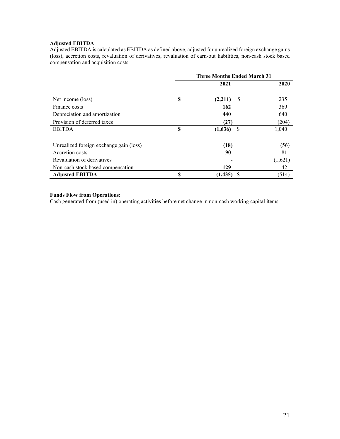## **Adjusted EBITDA**

Adjusted EBITDA is calculated as EBITDA as defined above, adjusted for unrealized foreign exchange gains (loss), accretion costs, revaluation of derivatives, revaluation of earn-out liabilities, non-cash stock based compensation and acquisition costs.

|                                         | <b>Three Months Ended March 31</b> |          |      |         |  |
|-----------------------------------------|------------------------------------|----------|------|---------|--|
|                                         |                                    | 2021     |      | 2020    |  |
|                                         |                                    |          |      |         |  |
| Net income (loss)                       | S                                  | (2,211)  | -S   | 235     |  |
| Finance costs                           |                                    | 162      |      | 369     |  |
| Depreciation and amortization           |                                    | 440      |      | 640     |  |
| Provision of deferred taxes             |                                    | (27)     |      | (204)   |  |
| <b>EBITDA</b>                           | S                                  | (1,636)  | -S   | 1,040   |  |
| Unrealized foreign exchange gain (loss) |                                    | (18)     |      | (56)    |  |
| Accretion costs                         |                                    | 90       |      | 81      |  |
| Revaluation of derivatives              |                                    |          |      | (1,621) |  |
| Non-cash stock based compensation       |                                    | 129      |      | 42      |  |
| <b>Adjusted EBITDA</b>                  | S                                  | (1, 435) | - \$ | (514)   |  |

## **Funds Flow from Operations:**

Cash generated from (used in) operating activities before net change in non-cash working capital items.